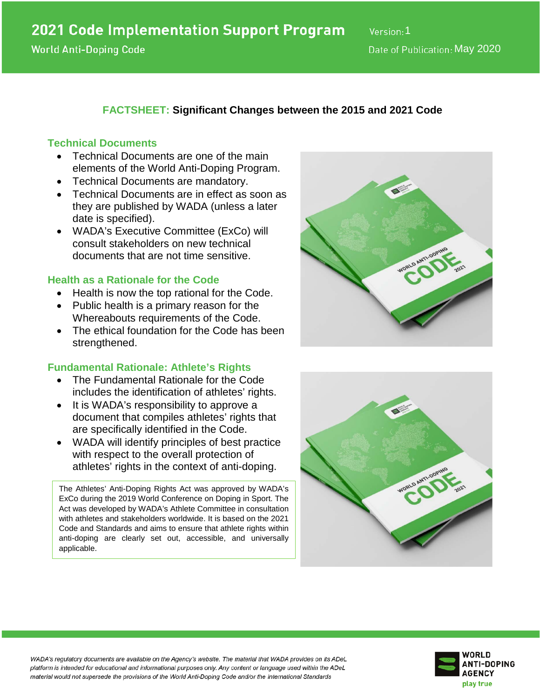# **FACTSHEET: Significant Changes between the 2015 and 2021 Code**

### **Technical Documents**

- Technical Documents are one of the main elements of the World Anti-Doping Program.
- Technical Documents are mandatory.
- Technical Documents are in effect as soon as they are published by WADA (unless a later date is specified).
- WADA's Executive Committee (ExCo) will consult stakeholders on new technical documents that are not time sensitive.

### **Health as a Rationale for the Code**

- Health is now the top rational for the Code.
- Public health is a primary reason for the Whereabouts requirements of the Code.
- The ethical foundation for the Code has been strengthened.

### **Fundamental Rationale: Athlete's Rights**

- The Fundamental Rationale for the Code includes the identification of athletes' rights.
- It is WADA's responsibility to approve a document that compiles athletes' rights that are specifically identified in the Code.
- WADA will identify principles of best practice with respect to the overall protection of athletes' rights in the context of anti-doping.

The Athletes' Anti-Doping Rights Act was approved by WADA's ExCo during the 2019 World Conference on Doping in Sport. The Act was developed by WADA's Athlete Committee in consultation with athletes and stakeholders worldwide. It is based on the 2021 Code and Standards and aims to ensure that athlete rights within anti-doping are clearly set out, accessible, and universally applicable.







WADA's regulatory documents are available on the Agency's website. The material that WADA provides on its ADeL platform is intended for educational and informational purposes only. Any content or language used within the ADeL material would not supersede the provisions of the World Anti-Doping Code and/or the International Standards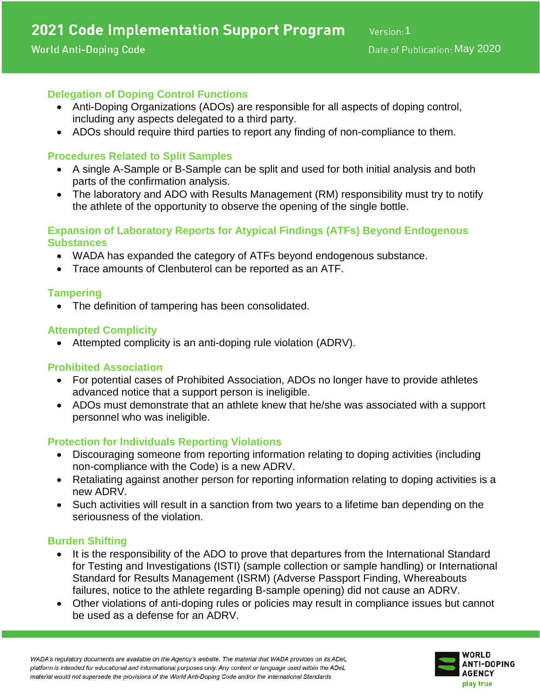## **World Anti-Doping Code**

# **Delegation of Doping Control Functions**

- Anti-Doping Organizations (ADOs) are responsible for all aspects of doping control, including any aspects delegated to a third party.
- ADOs should require third parties to report any finding of non-compliance to them.

## **Procedures Related to Split Samples**

- A single A-Sample or B-Sample can be split and used for both initial analysis and both parts of the confirmation analysis.
- The laboratory and ADO with Results Management (RM) responsibility must try to notify the athlete of the opportunity to observe the opening of the single bottle.

### **Expansion of Laboratory Reports for Atypical Findings (ATFs) Beyond Endogenous Substances**

- WADA has expanded the category of ATFs beyond endogenous substance.
- Trace amounts of Clenbuterol can be reported as an ATF.

### **Tampering**

• The definition of tampering has been consolidated.

## **Attempted Complicity**

• Attempted complicity is an anti-doping rule violation (ADRV).

# **Prohibited Association**

- For potential cases of Prohibited Association, ADOs no longer have to provide athletes advanced notice that a support person is ineligible.
- ADOs must demonstrate that an athlete knew that he/she was associated with a support personnel who was ineligible.

# **Protection for Individuals Reporting Violations**

- Discouraging someone from reporting information relating to doping activities (including non-compliance with the Code) is a new ADRV.
- Retaliating against another person for reporting information relating to doping activities is a new ADRV.
- Such activities will result in a sanction from two years to a lifetime ban depending on the seriousness of the violation.

### **Burden Shifting**

- It is the responsibility of the ADO to prove that departures from the International Standard for Testing and Investigations (ISTI) (sample collection or sample handling) or International Standard for Results Management (ISRM) (Adverse Passport Finding, Whereabouts failures, notice to the athlete regarding B-sample opening) did not cause an ADRV.
- Other violations of anti-doping rules or policies may result in compliance issues but cannot be used as a defense for an ADRV.

WADA's regulatory documents are available on the Agency's website. The material that WADA provides on its ADeL platform is intended for educational and informational purposes only. Any content or language used within the ADeL material would not supersede the provisions of the World Anti-Doping Code and/or the International Standards

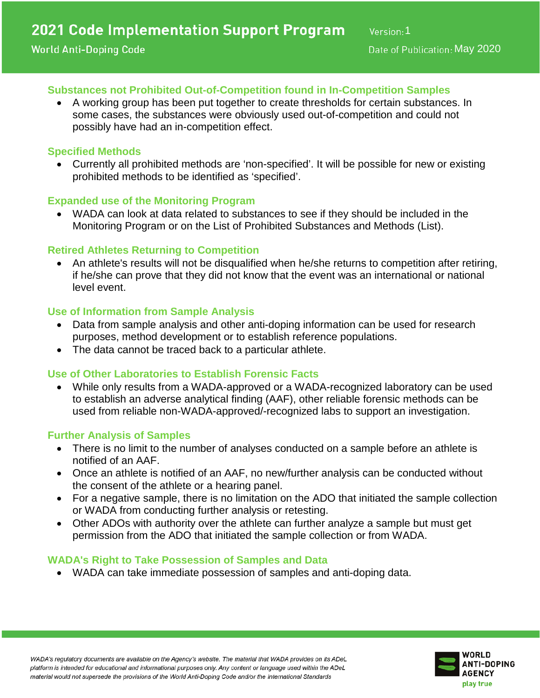## **Substances not Prohibited Out-of-Competition found in In-Competition Samples**

• A working group has been put together to create thresholds for certain substances. In some cases, the substances were obviously used out-of-competition and could not possibly have had an in-competition effect.

## **Specified Methods**

• Currently all prohibited methods are 'non-specified'. It will be possible for new or existing prohibited methods to be identified as 'specified'.

## **Expanded use of the Monitoring Program**

• WADA can look at data related to substances to see if they should be included in the Monitoring Program or on the List of Prohibited Substances and Methods (List).

## **Retired Athletes Returning to Competition**

• An athlete's results will not be disqualified when he/she returns to competition after retiring, if he/she can prove that they did not know that the event was an international or national level event.

## **Use of Information from Sample Analysis**

- Data from sample analysis and other anti-doping information can be used for research purposes, method development or to establish reference populations.
- The data cannot be traced back to a particular athlete.

## **Use of Other Laboratories to Establish Forensic Facts**

• While only results from a WADA-approved or a WADA-recognized laboratory can be used to establish an adverse analytical finding (AAF), other reliable forensic methods can be used from reliable non-WADA-approved/-recognized labs to support an investigation.

### **Further Analysis of Samples**

- There is no limit to the number of analyses conducted on a sample before an athlete is notified of an AAF.
- Once an athlete is notified of an AAF, no new/further analysis can be conducted without the consent of the athlete or a hearing panel.
- For a negative sample, there is no limitation on the ADO that initiated the sample collection or WADA from conducting further analysis or retesting.
- Other ADOs with authority over the athlete can further analyze a sample but must get permission from the ADO that initiated the sample collection or from WADA.

### **WADA's Right to Take Possession of Samples and Data**

• WADA can take immediate possession of samples and anti-doping data.



WADA's requiatory documents are available on the Agency's website. The material that WADA provides on its ADeL platform is intended for educational and informational purposes only. Any content or language used within the ADeL material would not supersede the provisions of the World Anti-Doping Code and/or the International Standards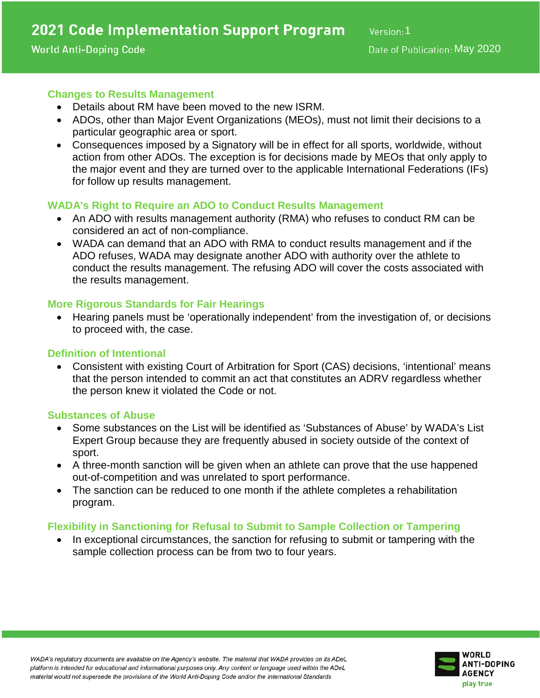## **Changes to Results Management**

- Details about RM have been moved to the new ISRM.
- ADOs, other than Major Event Organizations (MEOs), must not limit their decisions to a particular geographic area or sport.
- Consequences imposed by a Signatory will be in effect for all sports, worldwide, without action from other ADOs. The exception is for decisions made by MEOs that only apply to the major event and they are turned over to the applicable International Federations (IFs) for follow up results management.

## **WADA's Right to Require an ADO to Conduct Results Management**

- An ADO with results management authority (RMA) who refuses to conduct RM can be considered an act of non-compliance.
- WADA can demand that an ADO with RMA to conduct results management and if the ADO refuses, WADA may designate another ADO with authority over the athlete to conduct the results management. The refusing ADO will cover the costs associated with the results management.

### **More Rigorous Standards for Fair Hearings**

• Hearing panels must be 'operationally independent' from the investigation of, or decisions to proceed with, the case.

### **Definition of Intentional**

• Consistent with existing Court of Arbitration for Sport (CAS) decisions, 'intentional' means that the person intended to commit an act that constitutes an ADRV regardless whether the person knew it violated the Code or not.

### **Substances of Abuse**

- Some substances on the List will be identified as 'Substances of Abuse' by WADA's List Expert Group because they are frequently abused in society outside of the context of sport.
- A three-month sanction will be given when an athlete can prove that the use happened out-of-competition and was unrelated to sport performance.
- The sanction can be reduced to one month if the athlete completes a rehabilitation program.

# **Flexibility in Sanctioning for Refusal to Submit to Sample Collection or Tampering**

In exceptional circumstances, the sanction for refusing to submit or tampering with the sample collection process can be from two to four years.

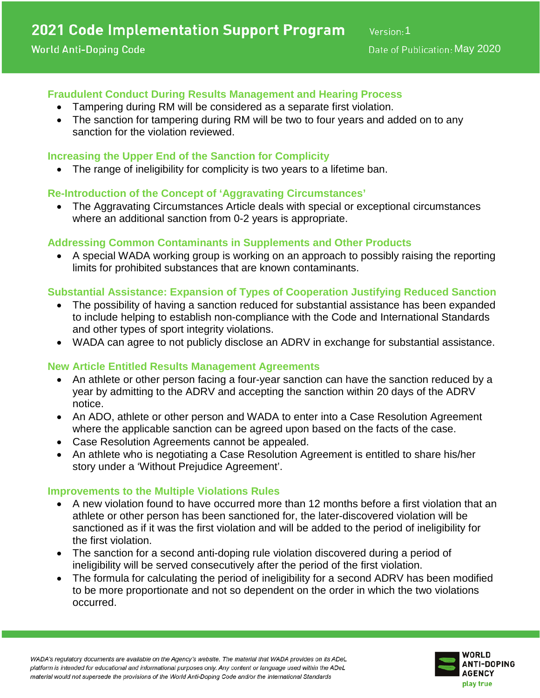# **Fraudulent Conduct During Results Management and Hearing Process**

- Tampering during RM will be considered as a separate first violation.
- The sanction for tampering during RM will be two to four years and added on to any sanction for the violation reviewed.

## **Increasing the Upper End of the Sanction for Complicity**

The range of ineligibility for complicity is two years to a lifetime ban.

## **Re-Introduction of the Concept of 'Aggravating Circumstances'**

• The Aggravating Circumstances Article deals with special or exceptional circumstances where an additional sanction from 0-2 years is appropriate.

## **Addressing Common Contaminants in Supplements and Other Products**

• A special WADA working group is working on an approach to possibly raising the reporting limits for prohibited substances that are known contaminants.

# **Substantial Assistance: Expansion of Types of Cooperation Justifying Reduced Sanction**

- The possibility of having a sanction reduced for substantial assistance has been expanded to include helping to establish non-compliance with the Code and International Standards and other types of sport integrity violations.
- WADA can agree to not publicly disclose an ADRV in exchange for substantial assistance.

### **New Article Entitled Results Management Agreements**

- An athlete or other person facing a four-year sanction can have the sanction reduced by a year by admitting to the ADRV and accepting the sanction within 20 days of the ADRV notice.
- An ADO, athlete or other person and WADA to enter into a Case Resolution Agreement where the applicable sanction can be agreed upon based on the facts of the case.
- Case Resolution Agreements cannot be appealed.
- An athlete who is negotiating a Case Resolution Agreement is entitled to share his/her story under a 'Without Prejudice Agreement'.

### **Improvements to the Multiple Violations Rules**

- A new violation found to have occurred more than 12 months before a first violation that an athlete or other person has been sanctioned for, the later-discovered violation will be sanctioned as if it was the first violation and will be added to the period of ineligibility for the first violation.
- The sanction for a second anti-doping rule violation discovered during a period of ineligibility will be served consecutively after the period of the first violation.
- The formula for calculating the period of ineligibility for a second ADRV has been modified to be more proportionate and not so dependent on the order in which the two violations occurred.



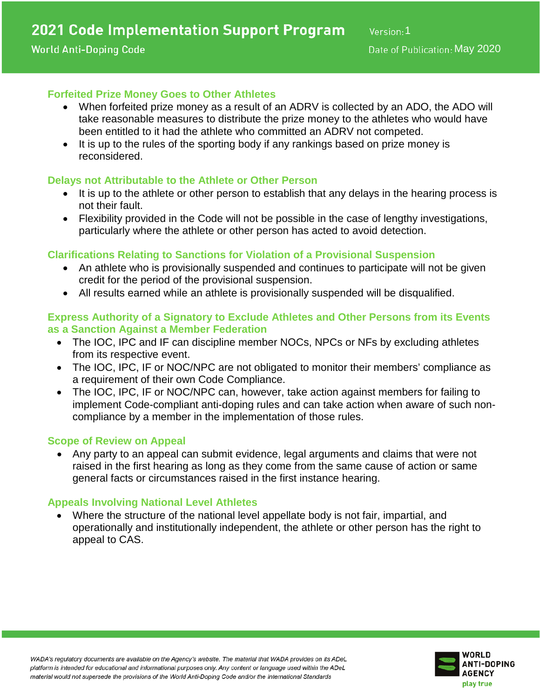### **World Anti-Doping Code**

## **Forfeited Prize Money Goes to Other Athletes**

- When forfeited prize money as a result of an ADRV is collected by an ADO, the ADO will take reasonable measures to distribute the prize money to the athletes who would have been entitled to it had the athlete who committed an ADRV not competed.
- It is up to the rules of the sporting body if any rankings based on prize money is reconsidered.

### **Delays not Attributable to the Athlete or Other Person**

- It is up to the athlete or other person to establish that any delays in the hearing process is not their fault.
- Flexibility provided in the Code will not be possible in the case of lengthy investigations, particularly where the athlete or other person has acted to avoid detection.

# **Clarifications Relating to Sanctions for Violation of a Provisional Suspension**

- An athlete who is provisionally suspended and continues to participate will not be given credit for the period of the provisional suspension.
- All results earned while an athlete is provisionally suspended will be disqualified.

### **Express Authority of a Signatory to Exclude Athletes and Other Persons from its Events as a Sanction Against a Member Federation**

- The IOC, IPC and IF can discipline member NOCs, NPCs or NFs by excluding athletes from its respective event.
- The IOC, IPC, IF or NOC/NPC are not obligated to monitor their members' compliance as a requirement of their own Code Compliance.
- The IOC, IPC, IF or NOC/NPC can, however, take action against members for failing to implement Code-compliant anti-doping rules and can take action when aware of such noncompliance by a member in the implementation of those rules.

### **Scope of Review on Appeal**

• Any party to an appeal can submit evidence, legal arguments and claims that were not raised in the first hearing as long as they come from the same cause of action or same general facts or circumstances raised in the first instance hearing.

### **Appeals Involving National Level Athletes**

• Where the structure of the national level appellate body is not fair, impartial, and operationally and institutionally independent, the athlete or other person has the right to appeal to CAS.



WADA's regulatory documents are available on the Agency's website. The material that WADA provides on its ADeL platform is intended for educational and informational purposes only. Any content or language used within the ADeL material would not supersede the provisions of the World Anti-Doping Code and/or the International Standards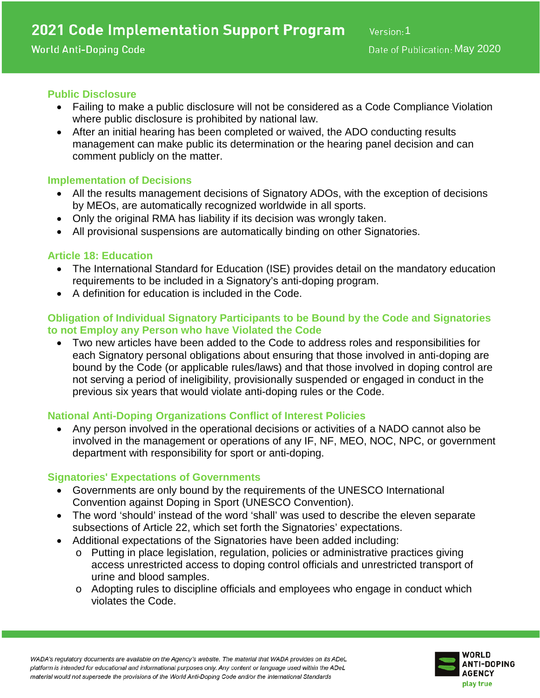## **Public Disclosure**

- Failing to make a public disclosure will not be considered as a Code Compliance Violation where public disclosure is prohibited by national law.
- After an initial hearing has been completed or waived, the ADO conducting results management can make public its determination or the hearing panel decision and can comment publicly on the matter.

## **Implementation of Decisions**

- All the results management decisions of Signatory ADOs, with the exception of decisions by MEOs, are automatically recognized worldwide in all sports.
- Only the original RMA has liability if its decision was wrongly taken.
- All provisional suspensions are automatically binding on other Signatories.

## **Article 18: Education**

- The International Standard for Education (ISE) provides detail on the mandatory education requirements to be included in a Signatory's anti-doping program.
- A definition for education is included in the Code.

## **Obligation of Individual Signatory Participants to be Bound by the Code and Signatories to not Employ any Person who have Violated the Code**

• Two new articles have been added to the Code to address roles and responsibilities for each Signatory personal obligations about ensuring that those involved in anti-doping are bound by the Code (or applicable rules/laws) and that those involved in doping control are not serving a period of ineligibility, provisionally suspended or engaged in conduct in the previous six years that would violate anti-doping rules or the Code.

# **National Anti-Doping Organizations Conflict of Interest Policies**

• Any person involved in the operational decisions or activities of a NADO cannot also be involved in the management or operations of any IF, NF, MEO, NOC, NPC, or government department with responsibility for sport or anti-doping.

### **Signatories' Expectations of Governments**

- Governments are only bound by the requirements of the UNESCO International Convention against Doping in Sport (UNESCO Convention).
- The word 'should' instead of the word 'shall' was used to describe the eleven separate subsections of Article 22, which set forth the Signatories' expectations.
- Additional expectations of the Signatories have been added including:
	- o Putting in place legislation, regulation, policies or administrative practices giving access unrestricted access to doping control officials and unrestricted transport of urine and blood samples.
	- o Adopting rules to discipline officials and employees who engage in conduct which violates the Code.



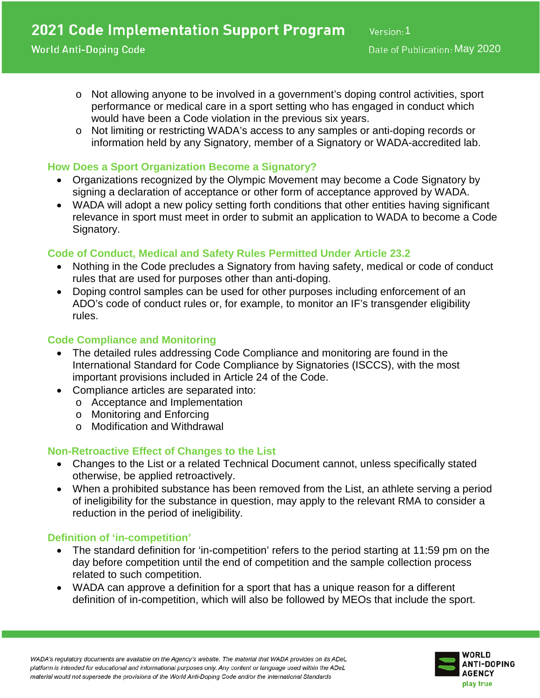- o Not allowing anyone to be involved in a government's doping control activities, sport performance or medical care in a sport setting who has engaged in conduct which would have been a Code violation in the previous six years.
- o Not limiting or restricting WADA's access to any samples or anti-doping records or information held by any Signatory, member of a Signatory or WADA-accredited lab.

# **How Does a Sport Organization Become a Signatory?**

- Organizations recognized by the Olympic Movement may become a Code Signatory by signing a declaration of acceptance or other form of acceptance approved by WADA.
- WADA will adopt a new policy setting forth conditions that other entities having significant relevance in sport must meet in order to submit an application to WADA to become a Code Signatory.

# **Code of Conduct, Medical and Safety Rules Permitted Under Article 23.2**

- Nothing in the Code precludes a Signatory from having safety, medical or code of conduct rules that are used for purposes other than anti-doping.
- Doping control samples can be used for other purposes including enforcement of an ADO's code of conduct rules or, for example, to monitor an IF's transgender eligibility rules.

# **Code Compliance and Monitoring**

- The detailed rules addressing Code Compliance and monitoring are found in the International Standard for Code Compliance by Signatories (ISCCS), with the most important provisions included in Article 24 of the Code.
- Compliance articles are separated into:
	- o Acceptance and Implementation
	- o Monitoring and Enforcing
	- o Modification and Withdrawal

# **Non-Retroactive Effect of Changes to the List**

- Changes to the List or a related Technical Document cannot, unless specifically stated otherwise, be applied retroactively.
- When a prohibited substance has been removed from the List, an athlete serving a period of ineligibility for the substance in question, may apply to the relevant RMA to consider a reduction in the period of ineligibility.

# **Definition of 'in-competition'**

- The standard definition for 'in-competition' refers to the period starting at 11:59 pm on the day before competition until the end of competition and the sample collection process related to such competition.
- WADA can approve a definition for a sport that has a unique reason for a different definition of in-competition, which will also be followed by MEOs that include the sport.